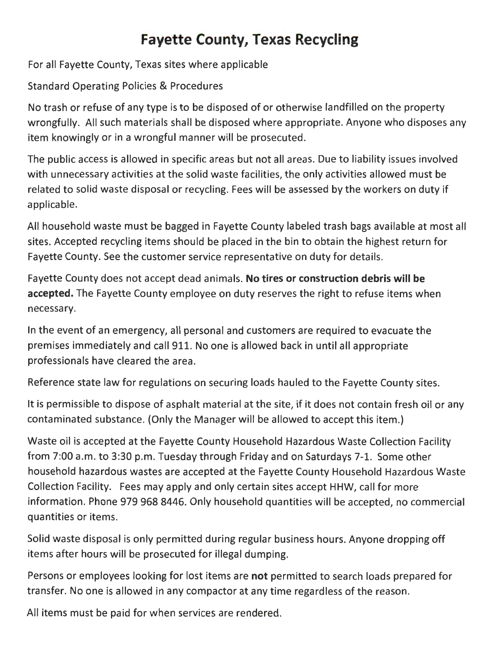## **Fayette County, Texas Recycling**

For all Fayette County, Texas sites where applicable

Standard Operating Policies & Procedures

No trash or refuse of any type is to be disposed of or otherwise landfilled on the property wrongfully. All such materials shall be disposed where appropriate. Anyone who disposes any item knowingly or in a wrongful manner will be prosecuted.

The public access is allowed in specific areas but not all areas. Due to liability issues involved with unnecessary activities at the solid waste facilities, the only activities allowed must be related to solid waste disposal or recycling. Fees will be assessed by the workers on duty if applicable.

All household waste must be bagged in Fayette County labeled trash bags available at most all sites. Accepted recycling items should be placed in the bin to obtain the highest return for Fayette County. See the customer service representative on duty for details.

Fayette County does not accept dead animals. **No tires or construction debris will be accepted.** The Fayette County employee on duty reserves the right to refuse items when necessary.

In the event of an emergency, all personal and customers are required to evacuate the premises immediately and call 911. No one is allowed back in until all appropriate professionals have cleared the area.

Reference state law for regulations on securing loads hauled to the Fayette County sites.

It is permissible to dispose of asphalt material at the site, if it does not contain fresh oil or any contaminated substance. {Only the Manager will be allowed to accept this item.)

Waste oil is accepted at the Fayette County Household Hazardous Waste Collection Facility from 7:00 a.m. to 3:30 p.m. Tuesday through Friday and on Saturdays 7-1. Some other household hazardous wastes are accepted at the Fayette County Household Hazardous Waste Collection Facility. Fees may apply and only certain sites accept HHW, call for more information. Phone 979 968 8446. Only household quantities will be accepted, no commercial quantities or items.

Solid waste disposal is only permitted during regular business hours. Anyone dropping off items after hours will be prosecuted for illegal dumping.

Persons or employees looking for lost items are **not** permitted to search loads prepared for transfer. No one is allowed in any compactor at any time regardless of the reason.

All items must be paid for when services are rendered.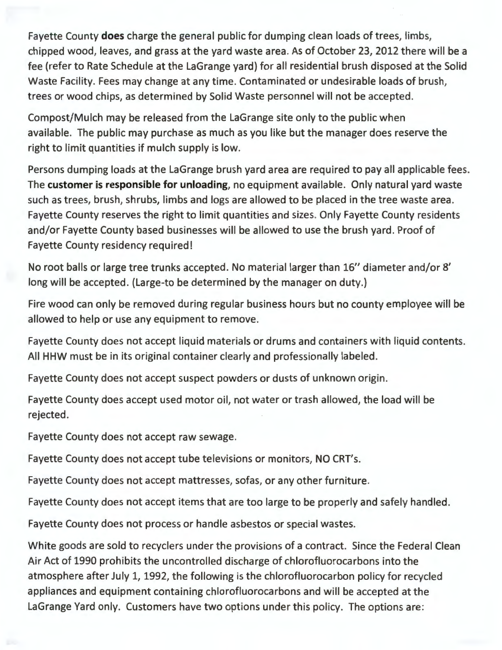Fayette County **does** charge the general public for dumping clean loads of trees, limbs, chipped wood, leaves, and grass at the yard waste area. As of October 23, 2012 there will be a fee (refer to Rate Schedule at the LaGrange yard) for all residential brush disposed at the Solid Waste Facility. Fees may change at any time. Contaminated or undesirable loads of brush, trees or wood chips, as determined by Solid Waste personnel will not be accepted.

Compost/Mulch may be released from the LaGrange site only to the public when available. The public may purchase as much as you like but the manager does reserve the right to limit quantities if mulch supply is low.

Persons dumping loads at the LaGrange brush yard area are required to pay all applicable fees. The **customer is responsible for unloading,** no equipment available. Only natural yard waste such as trees, brush, shrubs, limbs and logs are allowed to be placed in the tree waste area. Fayette County reserves the right to limit quantities and sizes. Only Fayette County residents and/or Fayette County based businesses will be allowed to use the brush yard. Proof of Fayette County residency required!

No root balls or large tree trunks accepted. No material larger than 16" diameter and/or 8' long will be accepted. (Large-to be determined by the manager on duty.)

Fire wood can only be removed during regular business hours but no county employee will be allowed to help or use any equipment to remove.

Fayette County does not accept liquid materials or drums and containers with liquid contents. All HHW must be in its original container clearly and professionally labeled.

Fayette County does not accept suspect powders or dusts of unknown origin.

Fayette County does accept used motor oil, not water or trash allowed, the load will be rejected.

Fayette County does not accept raw sewage.

Fayette County does not accept tube televisions or monitors, NO CRT's.

Fayette County does not accept mattresses, sofas, or any other furniture.

Fayette County does not accept items that are too large to be properly and safely handled.

Fayette County does not process or handle asbestos or special wastes.

White goods are sold to recyclers under the provisions of a contract. Since the Federal Clean Air Act of 1990 prohibits the uncontrolled discharge of chlorofluorocarbons into the atmosphere after July 1, 1992, the following is the chlorofluorocarbon policy for recycled appliances and equipment containing chlorofluorocarbons and will be accepted at the LaGrange Yard only. Customers have two options under this policy. The options are: